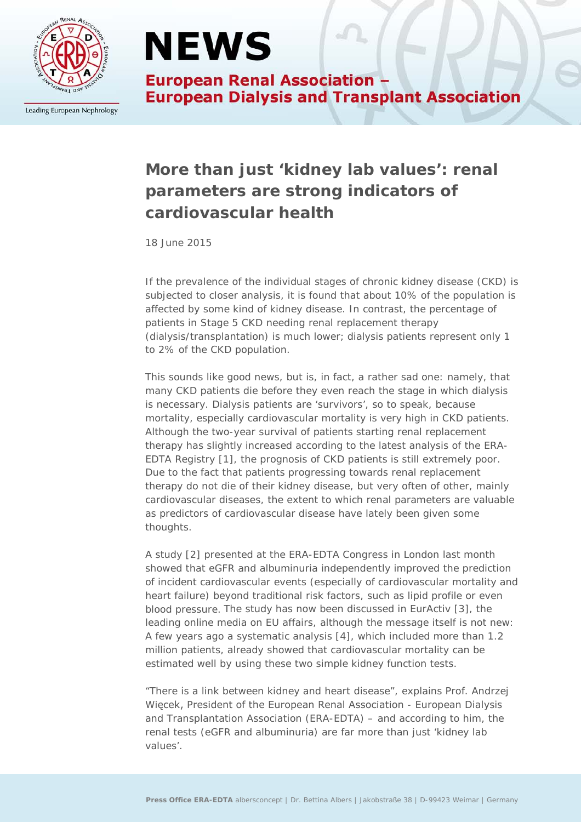

Leading European Nephrology

# **NEWS**

**European Renal Association -European Dialysis and Transplant Association** 

### **More than just 'kidney lab values': renal parameters are strong indicators of cardiovascular health**

*18 June 2015*

If the prevalence of the individual stages of chronic kidney disease (CKD) is subjected to closer analysis, it is found that about 10% of the population is affected by some kind of kidney disease. In contrast, the percentage of patients in Stage 5 CKD needing renal replacement therapy (dialysis/transplantation) is much lower; dialysis patients represent only 1 to 2% of the CKD population.

This sounds like good news, but is, in fact, a rather sad one: namely, that many CKD patients die before they even reach the stage in which dialysis is necessary. Dialysis patients are 'survivors', so to speak, because mortality, especially cardiovascular mortality is very high in CKD patients. Although the two-year survival of patients starting renal replacement therapy has slightly increased according to the latest analysis of the ERA-EDTA Registry [1], the prognosis of CKD patients is still extremely poor. Due to the fact that patients progressing towards renal replacement therapy do not die of their kidney disease, but very often of other, mainly cardiovascular diseases, the extent to which renal parameters are valuable as predictors of cardiovascular disease have lately been given some thoughts.

A study [2] presented at the ERA-EDTA Congress in London last month showed that eGFR and albuminuria independently improved the prediction of incident cardiovascular events (especially of cardiovascular mortality and heart failure) beyond traditional risk factors, such as lipid profile or even blood pressure. The study has now been discussed in EurActiv [3], the leading online media on EU affairs, although the message itself is not new: A few years ago a systematic analysis [4], which included more than 1.2 million patients, already showed that cardiovascular mortality can be estimated well by using these two simple kidney function tests.

"There is a link between kidney and heart disease", explains Prof. Andrzej Więcek, President of the European Renal Association - European Dialysis and Transplantation Association (ERA-EDTA) – and according to him, the renal tests (eGFR and albuminuria) are far more than just 'kidney lab values'.